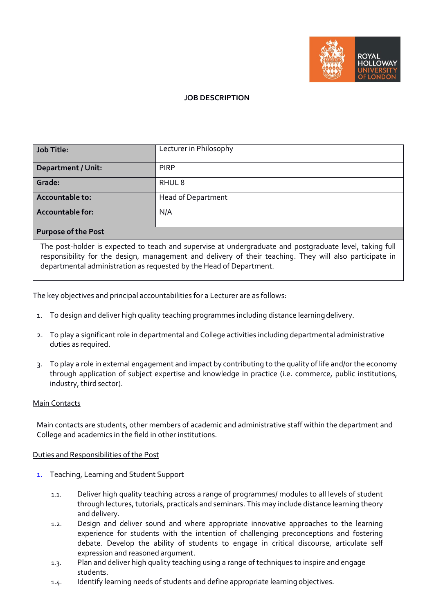

## **JOB DESCRIPTION**

| <b>Job Title:</b>                                                                                                                                                                                                  | Lecturer in Philosophy    |
|--------------------------------------------------------------------------------------------------------------------------------------------------------------------------------------------------------------------|---------------------------|
| <b>Department / Unit:</b>                                                                                                                                                                                          | <b>PIRP</b>               |
| Grade:                                                                                                                                                                                                             | RHUL <sub>8</sub>         |
| Accountable to:                                                                                                                                                                                                    | <b>Head of Department</b> |
| <b>Accountable for:</b>                                                                                                                                                                                            | N/A                       |
| <b>Purpose of the Post</b>                                                                                                                                                                                         |                           |
| The post-holder is expected to teach and supervise at undergraduate and postgraduate level, taking full<br>responsibility for the design, management and delivery of their teaching. They will also participate in |                           |

departmental administration as requested by the Head of Department.

The key objectives and principal accountabilities for a Lecturer are as follows:

- 1. To design and deliver high quality teaching programmes including distance learningdelivery.
- 2. To play a significant role in departmental and College activities including departmental administrative duties as required.
- 3. To play a role in external engagement and impact by contributing to the quality of life and/or the economy through application of subject expertise and knowledge in practice (i.e. commerce, public institutions, industry, third sector).

## Main Contacts

Main contacts are students, other members of academic and administrative staff within the department and College and academics in the field in other institutions.

## Duties and Responsibilities of the Post

- 1. Teaching, Learning and Student Support
	- 1.1. Deliver high quality teaching across a range of programmes/ modules to all levels of student through lectures, tutorials, practicals and seminars. This may include distance learning theory and delivery.
	- 1.2. Design and deliver sound and where appropriate innovative approaches to the learning experience for students with the intention of challenging preconceptions and fostering debate. Develop the ability of students to engage in critical discourse, articulate self expression and reasoned argument.
	- 1.3. Plan and deliver high quality teaching using a range of techniques to inspire and engage students.
	- 1.4. Identify learning needs of students and define appropriate learning objectives.